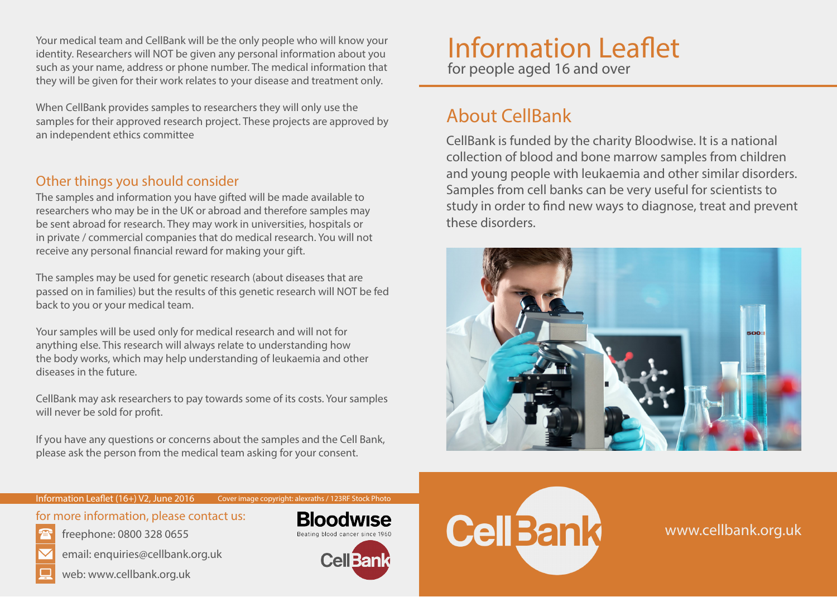Your medical team and CellBank will be the only people who will know your identity. Researchers will NOT be given any personal information about you such as your name, address or phone number. The medical information that they will be given for their work relates to your disease and treatment only.

When CellBank provides samples to researchers they will only use the samples for their approved research project. These projects are approved by an independent ethics committee

### Other things you should consider

The samples and information you have gifted will be made available to researchers who may be in the UK or abroad and therefore samples may be sent abroad for research. They may work in universities, hospitals or in private / commercial companies that do medical research. You will not receive any personal financial reward for making your gift.

The samples may be used for genetic research (about diseases that are passed on in families) but the results of this genetic research will NOT be fed back to you or your medical team.

Your samples will be used only for medical research and will not for anything else. This research will always relate to understanding how the body works, which may help understanding of leukaemia and other diseases in the future.

CellBank may ask researchers to pay towards some of its costs. Your samples will never be sold for profit.

If you have any questions or concerns about the samples and the Cell Bank, please ask the person from the medical team asking for your consent.

# Information Leaflet for people aged 16 and over

## About CellBank

CellBank is funded by the charity Bloodwise. It is a national collection of blood and bone marrow samples from children and young people with leukaemia and other similar disorders. Samples from cell banks can be very useful for scientists to study in order to find new ways to diagnose, treat and prevent these disorders.



#### Information Leaflet (16+) V2, June 2016

for more information, please contact us:

- - email: enquiries@cellbank.org.uk

freephone: 0800 328 0655





Cover image copyright: alexraths / 123RF Stock Photo





www.cellbank.org.uk